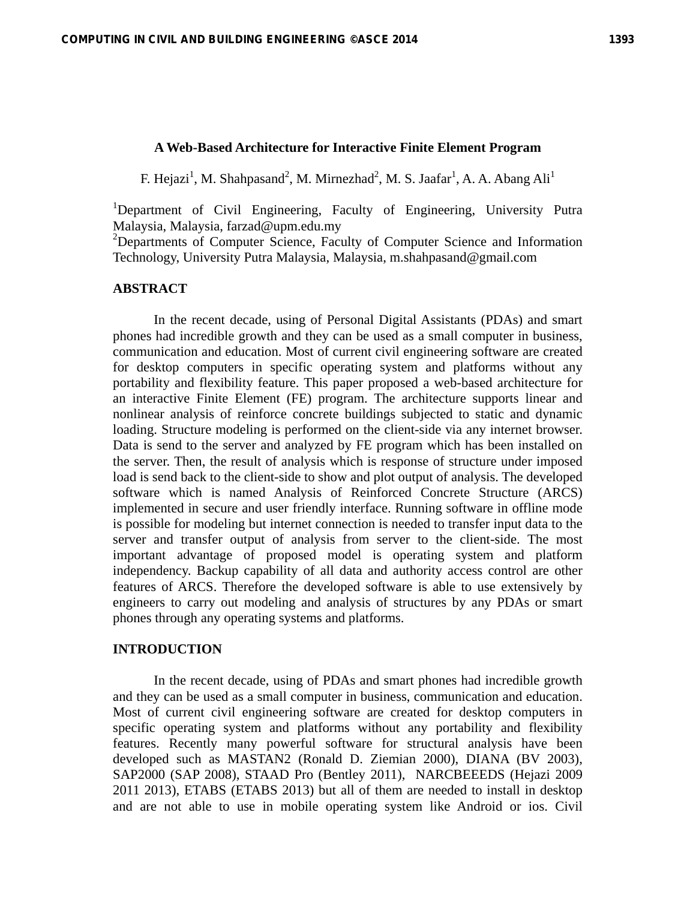# **A Web-Based Architecture for Interactive Finite Element Program**

F. Hejazi<sup>1</sup>, M. Shahpasand<sup>2</sup>, M. Mirnezhad<sup>2</sup>, M. S. Jaafar<sup>1</sup>, A. A. Abang Ali<sup>1</sup>

<sup>1</sup>Department of Civil Engineering, Faculty of Engineering, University Putra Malaysia, Malaysia, farzad@upm.edu.my

<sup>2</sup>Departments of Computer Science, Faculty of Computer Science and Information Technology, University Putra Malaysia, Malaysia, m.shahpasand@gmail.com

# **ABSTRACT**

In the recent decade, using of Personal Digital Assistants (PDAs) and smart phones had incredible growth and they can be used as a small computer in business, communication and education. Most of current civil engineering software are created for desktop computers in specific operating system and platforms without any portability and flexibility feature. This paper proposed a web-based architecture for an interactive Finite Element (FE) program. The architecture supports linear and nonlinear analysis of reinforce concrete buildings subjected to static and dynamic loading. Structure modeling is performed on the client-side via any internet browser. Data is send to the server and analyzed by FE program which has been installed on the server. Then, the result of analysis which is response of structure under imposed load is send back to the client-side to show and plot output of analysis. The developed software which is named Analysis of Reinforced Concrete Structure (ARCS) implemented in secure and user friendly interface. Running software in offline mode is possible for modeling but internet connection is needed to transfer input data to the server and transfer output of analysis from server to the client-side. The most important advantage of proposed model is operating system and platform independency. Backup capability of all data and authority access control are other features of ARCS. Therefore the developed software is able to use extensively by engineers to carry out modeling and analysis of structures by any PDAs or smart phones through any operating systems and platforms.

### **INTRODUCTION**

In the recent decade, using of PDAs and smart phones had incredible growth and they can be used as a small computer in business, communication and education. Most of current civil engineering software are created for desktop computers in specific operating system and platforms without any portability and flexibility features. Recently many powerful software for structural analysis have been developed such as MASTAN2 (Ronald D. Ziemian 2000), DIANA (BV 2003), SAP2000 (SAP 2008), STAAD Pro (Bentley 2011), NARCBEEEDS (Hejazi 2009 2011 2013), ETABS (ETABS 2013) but all of them are needed to install in desktop and are not able to use in mobile operating system like Android or ios. Civil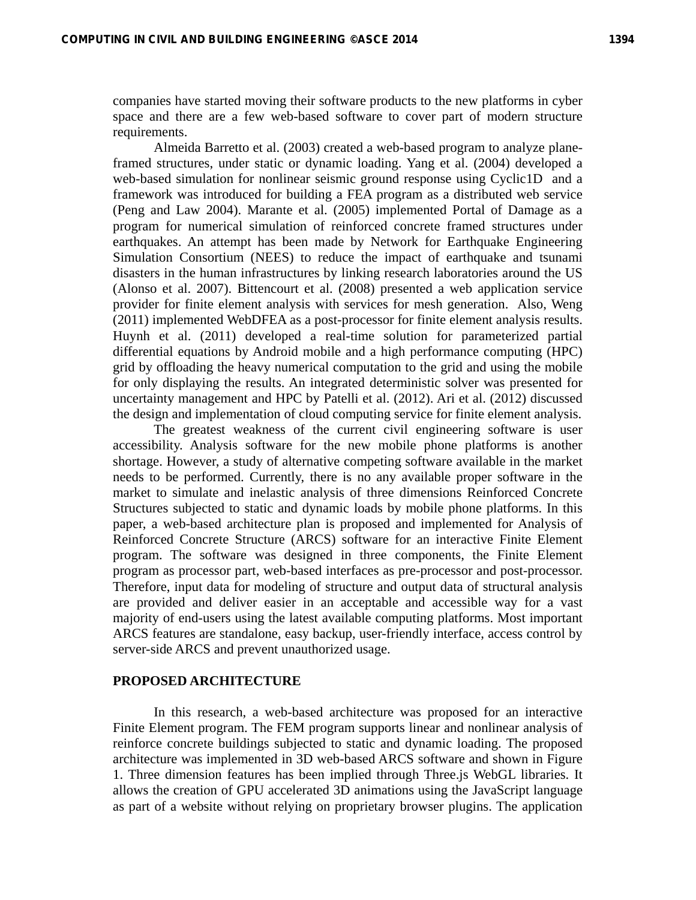companies have started moving their software products to the new platforms in cyber space and there are a few web-based software to cover part of modern structure requirements.

Almeida Barretto et al. (2003) created a web-based program to analyze planeframed structures, under static or dynamic loading. Yang et al. (2004) developed a web-based simulation for nonlinear seismic ground response using Cyclic1D and a framework was introduced for building a FEA program as a distributed web service (Peng and Law 2004). Marante et al. (2005) implemented Portal of Damage as a program for numerical simulation of reinforced concrete framed structures under earthquakes. An attempt has been made by Network for Earthquake Engineering Simulation Consortium (NEES) to reduce the impact of earthquake and tsunami disasters in the human infrastructures by linking research laboratories around the US (Alonso et al. 2007). Bittencourt et al. (2008) presented a web application service provider for finite element analysis with services for mesh generation. Also, Weng (2011) implemented WebDFEA as a post-processor for finite element analysis results. Huynh et al. (2011) developed a real-time solution for parameterized partial differential equations by Android mobile and a high performance computing (HPC) grid by offloading the heavy numerical computation to the grid and using the mobile for only displaying the results. An integrated deterministic solver was presented for uncertainty management and HPC by Patelli et al. (2012). Ari et al. (2012) discussed the design and implementation of cloud computing service for finite element analysis.

The greatest weakness of the current civil engineering software is user accessibility. Analysis software for the new mobile phone platforms is another shortage. However, a study of alternative competing software available in the market needs to be performed. Currently, there is no any available proper software in the market to simulate and inelastic analysis of three dimensions Reinforced Concrete Structures subjected to static and dynamic loads by mobile phone platforms. In this paper, a web-based architecture plan is proposed and implemented for Analysis of Reinforced Concrete Structure (ARCS) software for an interactive Finite Element program. The software was designed in three components, the Finite Element program as processor part, web-based interfaces as pre-processor and post-processor. Therefore, input data for modeling of structure and output data of structural analysis are provided and deliver easier in an acceptable and accessible way for a vast majority of end-users using the latest available computing platforms. Most important ARCS features are standalone, easy backup, user-friendly interface, access control by server-side ARCS and prevent unauthorized usage.

### **PROPOSED ARCHITECTURE**

In this research, a web-based architecture was proposed for an interactive Finite Element program. The FEM program supports linear and nonlinear analysis of reinforce concrete buildings subjected to static and dynamic loading. The proposed architecture was implemented in 3D web-based ARCS software and shown in Figure 1. Three dimension features has been implied through Three.js WebGL libraries. It allows the creation of GPU accelerated 3D animations using the JavaScript language as part of a website without relying on proprietary browser plugins. The application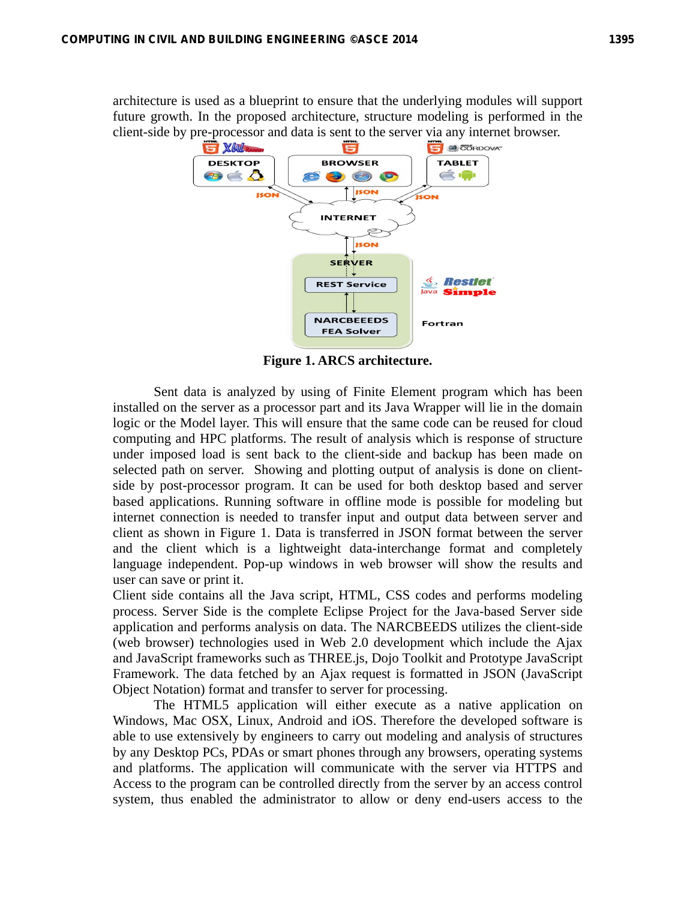architecture is used as a blueprint to ensure that the underlying modules will support future growth. In the proposed architecture, structure modeling is performed in the client-side by pre-processor and data is sent to the server via any internet browser.



**Figure 1. ARCS architecture.** 

Sent data is analyzed by using of Finite Element program which has been installed on the server as a processor part and its Java Wrapper will lie in the domain logic or the Model layer. This will ensure that the same code can be reused for cloud computing and HPC platforms. The result of analysis which is response of structure under imposed load is sent back to the client-side and backup has been made on selected path on server. Showing and plotting output of analysis is done on clientside by post-processor program. It can be used for both desktop based and server based applications. Running software in offline mode is possible for modeling but internet connection is needed to transfer input and output data between server and client as shown in Figure 1. Data is transferred in JSON format between the server and the client which is a lightweight data-interchange format and completely language independent. Pop-up windows in web browser will show the results and user can save or print it.

Client side contains all the Java script, HTML, CSS codes and performs modeling process. Server Side is the complete Eclipse Project for the Java-based Server side application and performs analysis on data. The NARCBEEDS utilizes the client-side (web browser) technologies used in Web 2.0 development which include the Ajax and JavaScript frameworks such as THREE.js, Dojo Toolkit and Prototype JavaScript Framework. The data fetched by an Ajax request is formatted in JSON (JavaScript Object Notation) format and transfer to server for processing.

The HTML5 application will either execute as a native application on Windows, Mac OSX, Linux, Android and iOS. Therefore the developed software is able to use extensively by engineers to carry out modeling and analysis of structures by any Desktop PCs, PDAs or smart phones through any browsers, operating systems and platforms. The application will communicate with the server via HTTPS and Access to the program can be controlled directly from the server by an access control system, thus enabled the administrator to allow or deny end-users access to the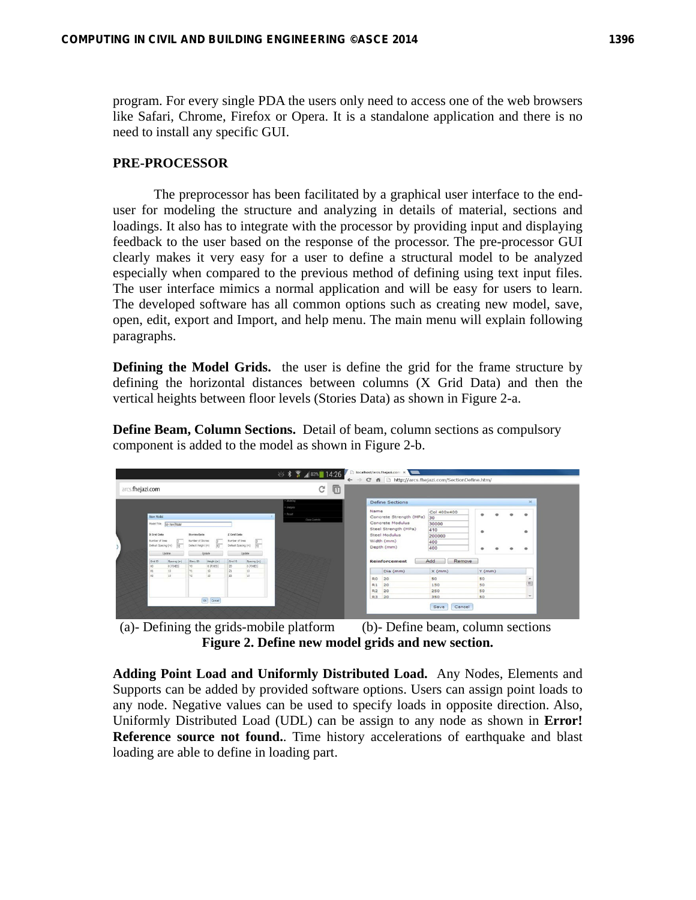program. For every single PDA the users only need to access one of the web browsers like Safari, Chrome, Firefox or Opera. It is a standalone application and there is no need to install any specific GUI.

### **PRE-PROCESSOR**

The preprocessor has been facilitated by a graphical user interface to the enduser for modeling the structure and analyzing in details of material, sections and loadings. It also has to integrate with the processor by providing input and displaying feedback to the user based on the response of the processor. The pre-processor GUI clearly makes it very easy for a user to define a structural model to be analyzed especially when compared to the previous method of defining using text input files. The user interface mimics a normal application and will be easy for users to learn. The developed software has all common options such as creating new model, save, open, edit, export and Import, and help menu. The main menu will explain following paragraphs.

**Defining the Model Grids.** the user is define the grid for the frame structure by defining the horizontal distances between columns (X Grid Data) and then the vertical heights between floor levels (Stories Data) as shown in Figure 2-a.

**Define Beam, Column Sections.** Detail of beam, column sections as compulsory component is added to the model as shown in Figure 2-b.



 (a)- Defining the grids-mobile platform (b)- Define beam, column sections **Figure 2. Define new model grids and new section.** 

**Adding Point Load and Uniformly Distributed Load.** Any Nodes, Elements and Supports can be added by provided software options. Users can assign point loads to any node. Negative values can be used to specify loads in opposite direction. Also, Uniformly Distributed Load (UDL) can be assign to any node as shown in **Error! Reference source not found.**. Time history accelerations of earthquake and blast loading are able to define in loading part.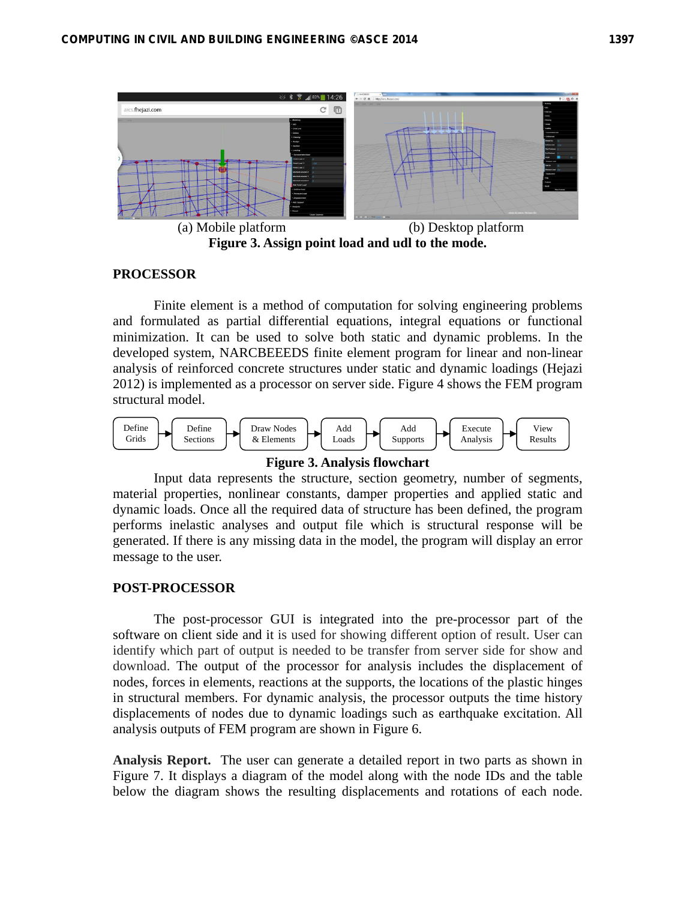

### **PROCESSOR**

Finite element is a method of computation for solving engineering problems and formulated as partial differential equations, integral equations or functional minimization. It can be used to solve both static and dynamic problems. In the developed system, NARCBEEEDS finite element program for linear and non-linear analysis of reinforced concrete structures under static and dynamic loadings (Hejazi 2012) is implemented as a processor on server side. Figure 4 shows the FEM program structural model.





Input data represents the structure, section geometry, number of segments, material properties, nonlinear constants, damper properties and applied static and dynamic loads. Once all the required data of structure has been defined, the program performs inelastic analyses and output file which is structural response will be generated. If there is any missing data in the model, the program will display an error message to the user.

# **POST-PROCESSOR**

The post-processor GUI is integrated into the pre-processor part of the software on client side and it is used for showing different option of result. User can identify which part of output is needed to be transfer from server side for show and download. The output of the processor for analysis includes the displacement of nodes, forces in elements, reactions at the supports, the locations of the plastic hinges in structural members. For dynamic analysis, the processor outputs the time history displacements of nodes due to dynamic loadings such as earthquake excitation. All analysis outputs of FEM program are shown in Figure 6.

**Analysis Report.** The user can generate a detailed report in two parts as shown in Figure 7. It displays a diagram of the model along with the node IDs and the table below the diagram shows the resulting displacements and rotations of each node.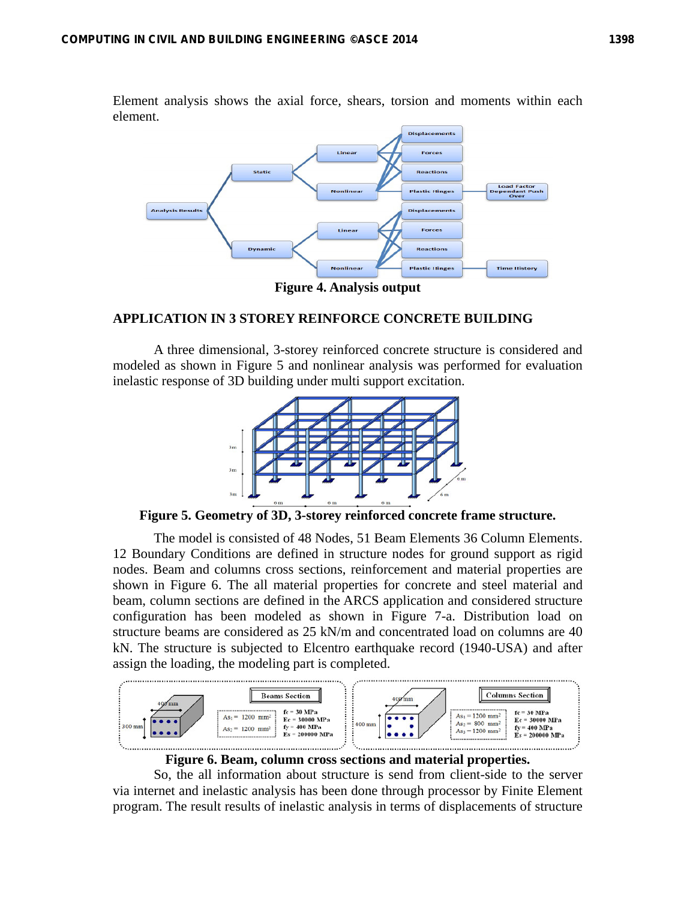Element analysis shows the axial force, shears, torsion and moments within each element.



## **APPLICATION IN 3 STOREY REINFORCE CONCRETE BUILDING**

A three dimensional, 3-storey reinforced concrete structure is considered and modeled as shown in Figure 5 and nonlinear analysis was performed for evaluation inelastic response of 3D building under multi support excitation.



**Figure 5. Geometry of 3D, 3-storey reinforced concrete frame structure.** 

The model is consisted of 48 Nodes, 51 Beam Elements 36 Column Elements. 12 Boundary Conditions are defined in structure nodes for ground support as rigid nodes. Beam and columns cross sections, reinforcement and material properties are shown in Figure 6. The all material properties for concrete and steel material and beam, column sections are defined in the ARCS application and considered structure configuration has been modeled as shown in Figure 7-a. Distribution load on structure beams are considered as 25 kN/m and concentrated load on columns are 40 kN. The structure is subjected to Elcentro earthquake record (1940-USA) and after assign the loading, the modeling part is completed.



**Figure 6. Beam, column cross sections and material properties.** 

So, the all information about structure is send from client-side to the server via internet and inelastic analysis has been done through processor by Finite Element program. The result results of inelastic analysis in terms of displacements of structure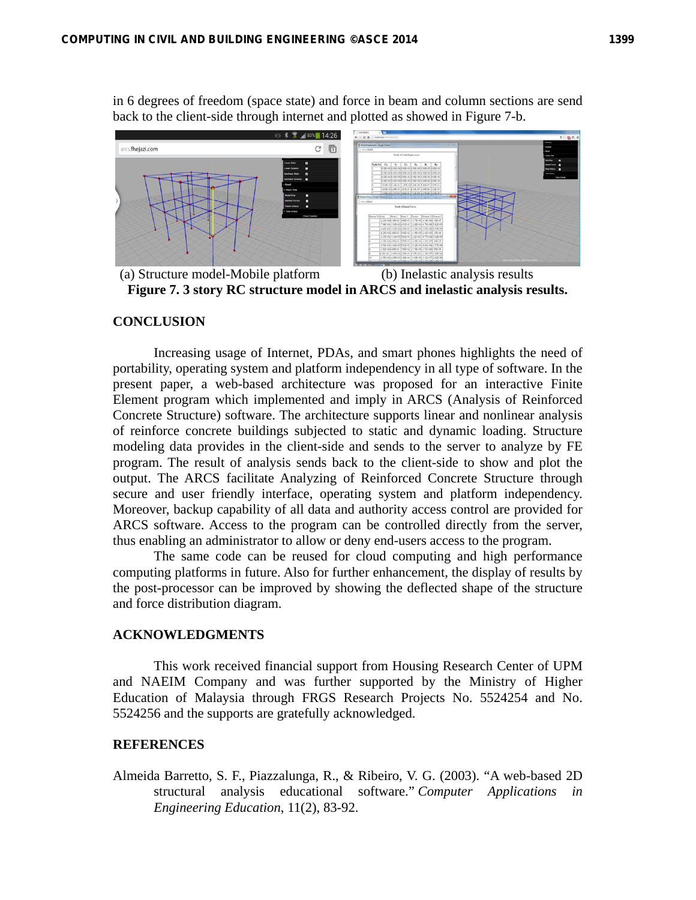in 6 degrees of freedom (space state) and force in beam and column sections are send back to the client-side through internet and plotted as showed in Figure 7-b.



 (a) Structure model-Mobile platform (b) Inelastic analysis results **Figure 7. 3 story RC structure model in ARCS and inelastic analysis results.** 

#### **CONCLUSION**

Increasing usage of Internet, PDAs, and smart phones highlights the need of portability, operating system and platform independency in all type of software. In the present paper, a web-based architecture was proposed for an interactive Finite Element program which implemented and imply in ARCS (Analysis of Reinforced Concrete Structure) software. The architecture supports linear and nonlinear analysis of reinforce concrete buildings subjected to static and dynamic loading. Structure modeling data provides in the client-side and sends to the server to analyze by FE program. The result of analysis sends back to the client-side to show and plot the output. The ARCS facilitate Analyzing of Reinforced Concrete Structure through secure and user friendly interface, operating system and platform independency. Moreover, backup capability of all data and authority access control are provided for ARCS software. Access to the program can be controlled directly from the server, thus enabling an administrator to allow or deny end-users access to the program.

The same code can be reused for cloud computing and high performance computing platforms in future. Also for further enhancement, the display of results by the post-processor can be improved by showing the deflected shape of the structure and force distribution diagram.

# **ACKNOWLEDGMENTS**

This work received financial support from Housing Research Center of UPM and NAEIM Company and was further supported by the Ministry of Higher Education of Malaysia through FRGS Research Projects No. 5524254 and No. 5524256 and the supports are gratefully acknowledged.

# **REFERENCES**

Almeida Barretto, S. F., Piazzalunga, R., & Ribeiro, V. G. (2003). "A web-based 2D structural analysis educational software." *Computer Applications in Engineering Education*, 11(2), 83-92.